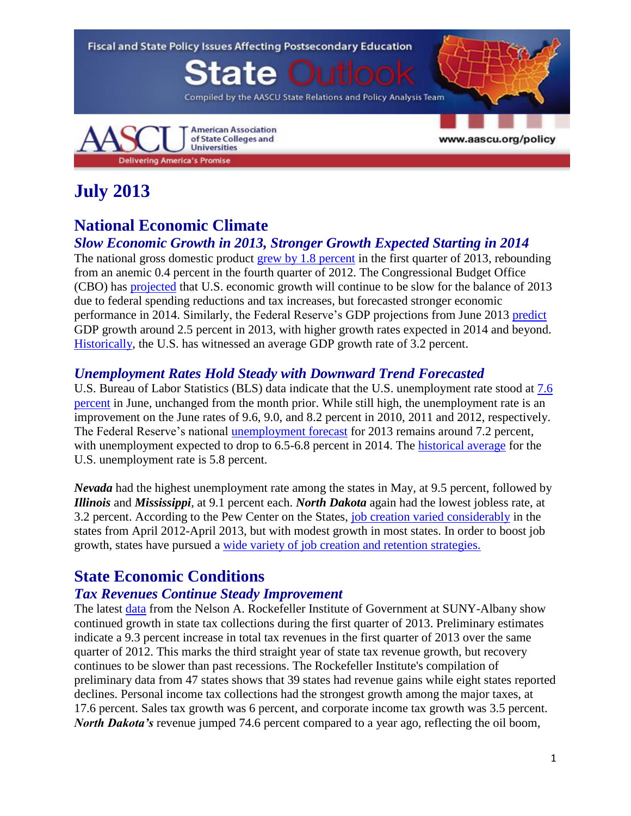

# **July 2013**

## **National Economic Climate**

#### *Slow Economic Growth in 2013, Stronger Growth Expected Starting in 2014*

The national gross domestic product [grew by 1.8 percent](http://www.bea.gov/newsreleases/national/gdp/gdpnewsrelease.htm) in the first quarter of 2013, rebounding from an anemic 0.4 percent in the fourth quarter of 2012. The Congressional Budget Office (CBO) has [projected](http://www.cbo.gov/sites/default/files/cbofiles/attachments/43907-BudgetOutlook.pdf) that U.S. economic growth will continue to be slow for the balance of 2013 due to federal spending reductions and tax increases, but forecasted stronger economic performance in 2014. Similarly, the Federal Reserve's GDP projections from June 2013 [predict](http://www.federalreserve.gov/monetarypolicy/files/fomcprojtabl20130619.pdf) GDP growth around 2.5 percent in 2013, with higher growth rates expected in 2014 and beyond. [Historically,](http://www.tradingeconomics.com/united-states/gdp-growth) the U.S. has witnessed an average GDP growth rate of 3.2 percent.

#### *Unemployment Rates Hold Steady with Downward Trend Forecasted*

U.S. Bureau of Labor Statistics (BLS) data indicate that the U.S. unemployment rate stood at [7.6](http://www.bls.gov/news.release/empsit.nr0.htm)  [percent](http://www.bls.gov/news.release/empsit.nr0.htm) in June, unchanged from the month prior. While still high, the unemployment rate is an improvement on the June rates of 9.6, 9.0, and 8.2 percent in 2010, 2011 and 2012, respectively. The Federal Reserve's national [unemployment forecast](http://www.federalreserve.gov/monetarypolicy/files/fomcprojtabl20130619.pdf) for 2013 remains around 7.2 percent, with unemployment expected to drop to 6.5-6.8 percent in 2014. The [historical average](http://www.tradingeconomics.com/united-states/unemployment-rate) for the U.S. unemployment rate is 5.8 percent.

*Nevada* had the highest unemployment rate among the states in May, at 9.5 percent, followed by *Illinois* and *Mississippi*, at 9.1 percent each. *North Dakota* again had the lowest jobless rate, at 3.2 percent. According to the Pew Center on the States, [job creation varied considerably](http://www.pewstates.org/research/data-visualizations/how-many-jobs-did-your-state-create-85899483589) in the states from April 2012-April 2013, but with modest growth in most states. In order to boost job growth, states have pursued a [wide variety of job creation and retention strategies.](http://www.pewstates.org/projects/stateline/headlines/how-did-states-create-jobs-85899482158)

## **State Economic Conditions**

#### *Tax Revenues Continue Steady Improvement*

The latest [data](http://www.rockinst.org/newsroom/data_alerts/2013/2013-06-SRR92_data_alert_djb_v2.htm) from the Nelson A. Rockefeller Institute of Government at SUNY-Albany show continued growth in state tax collections during the first quarter of 2013. Preliminary estimates indicate a 9.3 percent increase in total tax revenues in the first quarter of 2013 over the same quarter of 2012. This marks the third straight year of state tax revenue growth, but recovery continues to be slower than past recessions. The Rockefeller Institute's compilation of preliminary data from 47 states shows that 39 states had revenue gains while eight states reported declines. Personal income tax collections had the strongest growth among the major taxes, at 17.6 percent. Sales tax growth was 6 percent, and corporate income tax growth was 3.5 percent. *North Dakota's* revenue jumped 74.6 percent compared to a year ago, reflecting the oil boom,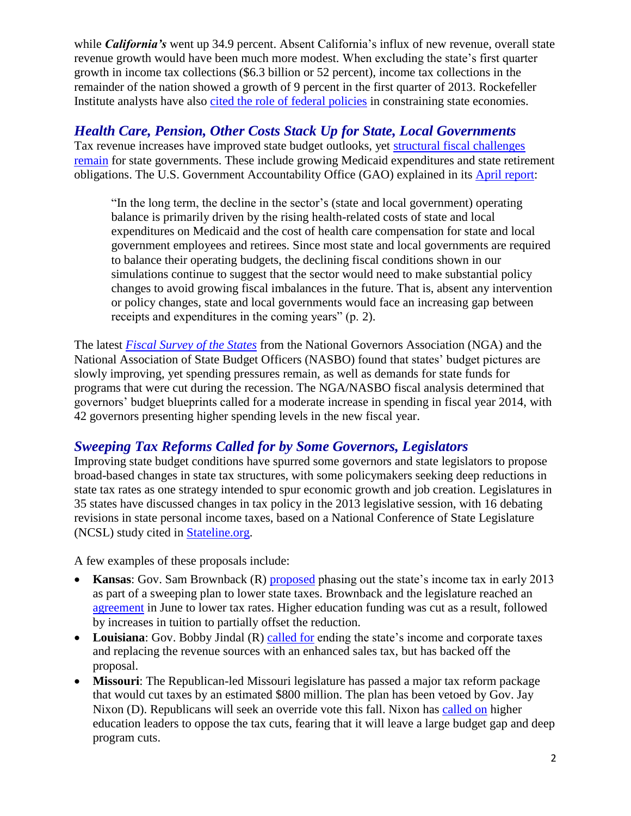while *California's* went up 34.9 percent. Absent California's influx of new revenue, overall state revenue growth would have been much more modest. When excluding the state's first quarter growth in income tax collections (\$6.3 billion or 52 percent), income tax collections in the remainder of the nation showed a growth of 9 percent in the first quarter of 2013. Rockefeller Institute analysts have also [cited the role of federal policies](http://www.pewstates.org/projects/stateline/headlines/state-tax-collections-up-85899481536) in constraining state economies.

## *Health Care, Pension, Other Costs Stack Up for State, Local Governments*

Tax revenue increases have improved state budget outlooks, yet [structural fiscal challenges](http://www.nytimes.com/2013/06/01/us/surpluses-help-but-fiscal-woes-for-states-go-on.html?smid=tw-share&_r=1&)  [remain](http://www.nytimes.com/2013/06/01/us/surpluses-help-but-fiscal-woes-for-states-go-on.html?smid=tw-share&_r=1&) for state governments. These include growing Medicaid expenditures and state retirement obligations. The U.S. Government Accountability Office (GAO) explained in its **[April report:](http://www.gao.gov/assets/660/654255.pdf)** 

"In the long term, the decline in the sector's (state and local government) operating balance is primarily driven by the rising health-related costs of state and local expenditures on Medicaid and the cost of health care compensation for state and local government employees and retirees. Since most state and local governments are required to balance their operating budgets, the declining fiscal conditions shown in our simulations continue to suggest that the sector would need to make substantial policy changes to avoid growing fiscal imbalances in the future. That is, absent any intervention or policy changes, state and local governments would face an increasing gap between receipts and expenditures in the coming years" (p. 2).

The latest *[Fiscal Survey of the States](http://www.nga.org/files/live/sites/NGA/files/pdf/2013/FSS1306.PDF)* from the National Governors Association (NGA) and the National Association of State Budget Officers (NASBO) found that states' budget pictures are slowly improving, yet spending pressures remain, as well as demands for state funds for programs that were cut during the recession. The NGA/NASBO fiscal analysis determined that governors' budget blueprints called for a moderate increase in spending in fiscal year 2014, with 42 governors presenting higher spending levels in the new fiscal year.

### *Sweeping Tax Reforms Called for by Some Governors, Legislators*

Improving state budget conditions have spurred some governors and state legislators to propose broad-based changes in state tax structures, with some policymakers seeking deep reductions in state tax rates as one strategy intended to spur economic growth and job creation. Legislatures in 35 states have discussed changes in tax policy in the 2013 legislative session, with 16 debating revisions in state personal income taxes, based on a National Conference of State Legislature (NCSL) study cited in [Stateline.org.](http://www.pewstates.org/projects/stateline/headlines/as-revenues-rebounded-many-states-cut-taxes-85899482175)

A few examples of these proposals include:

- **Kansas:** Gov. Sam Brownback (R) [proposed](http://www.nytimes.com/2013/01/24/us/politics/gov-sam-brownback-seeks-to-end-kansas-income-tax.html) phasing out the state's income tax in early 2013 as part of a sweeping plan to lower state taxes. Brownback and the legislature reached an [agreement](http://www.kansascity.com/2013/06/13/4290891/brownback-signs-tax-bill.html) in June to lower tax rates. Higher education funding was cut as a result, followed by increases in tuition to partially offset the reduction.
- Louisiana: Gov. Bobby Jindal (R) [called for](http://www.nytimes.com/2013/04/09/us/gov-bobby-jindal-shelves-tax-plan-in-louisiana.html?pagewanted=all&_r=0) ending the state's income and corporate taxes and replacing the revenue sources with an enhanced sales tax, but has backed off the proposal.
- **Missouri**: The Republican-led Missouri legislature has passed a major tax reform package that would cut taxes by an estimated \$800 million. The plan has been vetoed by Gov. Jay Nixon (D). Republicans will seek an override vote this fall. Nixon has [called on](http://www.news-leader.com/article/20130611/NEWS01/306110111/higher-education-funding-gov-jay-nixon-veto) higher education leaders to oppose the tax cuts, fearing that it will leave a large budget gap and deep program cuts.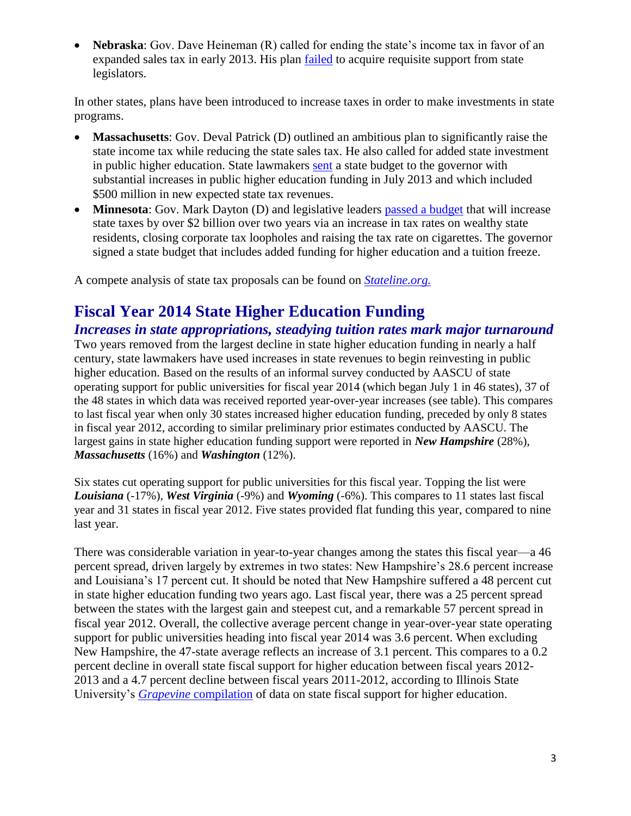**Nebraska**: Gov. Dave Heineman (R) called for ending the state's income tax in favor of an expanded sales tax in early 2013. His plan [failed](http://www.omaha.com/article/20130216/NEWS/130219576) to acquire requisite support from state legislators.

In other states, plans have been introduced to increase taxes in order to make investments in state programs.

- **Massachusetts**: Gov. Deval Patrick (D) outlined an ambitious plan to significantly raise the state income tax while reducing the state sales tax. He also called for added state investment in public higher education. State lawmakers [sent](http://www.masslive.com/politics/index.ssf/2013/07/massachusetts_legislators_appr_2.html) a state budget to the governor with substantial increases in public higher education funding in July 2013 and which included \$500 million in new expected state tax revenues.
- **Minnesota**: Gov. Mark Dayton (D) and legislative leaders [passed a budget](http://www.postbulletin.com/news/politics/dayton-signs-minn-budget-bills-other-legislation/article_66a3db72-6a1f-5ab5-903f-d3dda48f142d.html) that will increase state taxes by over \$2 billion over two years via an increase in tax rates on wealthy state residents, closing corporate tax loopholes and raising the tax rate on cigarettes. The governor signed a state budget that includes added funding for higher education and a tuition freeze.

A compete analysis of state tax proposals can be found on *[Stateline.org.](http://www.pewstates.org/projects/stateline/headlines/no-new-taxes-it-depends-on-where-you-live-85899482890)*

## **Fiscal Year 2014 State Higher Education Funding**

#### *Increases in state appropriations, steadying tuition rates mark major turnaround*

Two years removed from the largest decline in state higher education funding in nearly a half century, state lawmakers have used increases in state revenues to begin reinvesting in public higher education. Based on the results of an informal survey conducted by AASCU of state operating support for public universities for fiscal year 2014 (which began July 1 in 46 states), 37 of the 48 states in which data was received reported year-over-year increases (see table). This compares to last fiscal year when only 30 states increased higher education funding, preceded by only 8 states in fiscal year 2012, according to similar preliminary prior estimates conducted by AASCU. The largest gains in state higher education funding support were reported in *New Hampshire* (28%), *Massachusetts* (16%) and *Washington* (12%).

Six states cut operating support for public universities for this fiscal year. Topping the list were *Louisiana* (-17%), *West Virginia* (-9%) and *Wyoming* (-6%). This compares to 11 states last fiscal year and 31 states in fiscal year 2012. Five states provided flat funding this year, compared to nine last year.

There was considerable variation in year-to-year changes among the states this fiscal year—a 46 percent spread, driven largely by extremes in two states: New Hampshire's 28.6 percent increase and Louisiana's 17 percent cut. It should be noted that New Hampshire suffered a 48 percent cut in state higher education funding two years ago. Last fiscal year, there was a 25 percent spread between the states with the largest gain and steepest cut, and a remarkable 57 percent spread in fiscal year 2012. Overall, the collective average percent change in year-over-year state operating support for public universities heading into fiscal year 2014 was 3.6 percent. When excluding New Hampshire, the 47-state average reflects an increase of 3.1 percent. This compares to a 0.2 percent decline in overall state fiscal support for higher education between fiscal years 2012- 2013 and a 4.7 percent decline between fiscal years 2011-2012, according to Illinois State University's *Grapevine* [compilation](http://grapevine.illinoisstate.edu/tables/index.htm) of data on state fiscal support for higher education.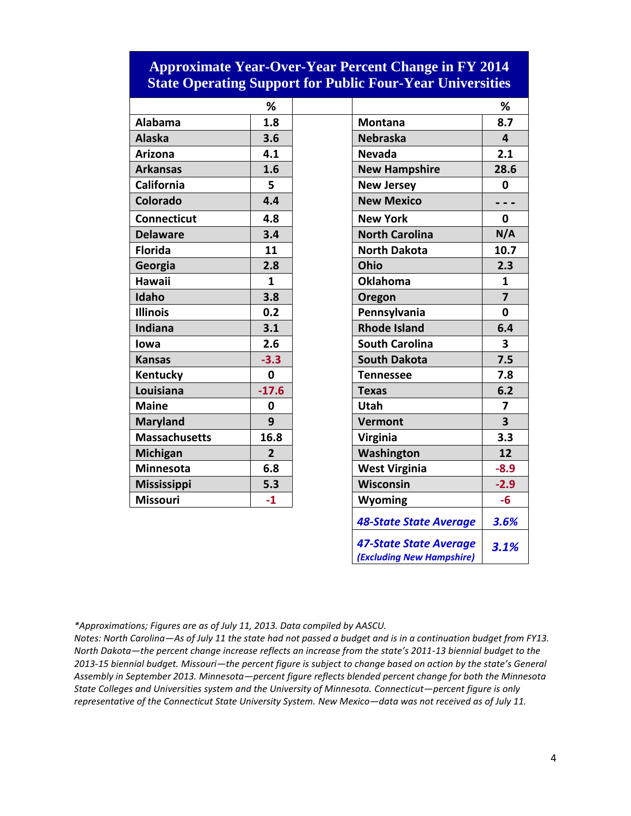#### **Approximate Year-Over-Year Percent Change in FY 2014 State Operating Support for Public Four-Year Universities**

|                      | %              |                       | %                       |
|----------------------|----------------|-----------------------|-------------------------|
| <b>Alabama</b>       | 1.8            | <b>Montana</b>        | 8.7                     |
| <b>Alaska</b>        | 3.6            | <b>Nebraska</b>       | 4                       |
| <b>Arizona</b>       | 4.1            | <b>Nevada</b>         | 2.1                     |
| <b>Arkansas</b>      | 1.6            | <b>New Hampshire</b>  | 28.                     |
| California           | 5              | <b>New Jersey</b>     | 0                       |
| Colorado             | 4.4            | <b>New Mexico</b>     |                         |
| <b>Connecticut</b>   | 4.8            | <b>New York</b>       | $\mathbf 0$             |
| <b>Delaware</b>      | 3.4            | <b>North Carolina</b> | N/4                     |
| <b>Florida</b>       | 11             | <b>North Dakota</b>   | 10.                     |
| Georgia              | 2.8            | Ohio                  | 2.3                     |
| <b>Hawaii</b>        | 1              | <b>Oklahoma</b>       | $\mathbf{1}$            |
| Idaho                | 3.8            | Oregon                | $\overline{\mathbf{z}}$ |
| <b>Illinois</b>      | 0.2            | Pennsylvania          | 0                       |
| Indiana              | 3.1            | <b>Rhode Island</b>   | 6.4                     |
| lowa                 | 2.6            | <b>South Carolina</b> | $\overline{\mathbf{3}}$ |
| <b>Kansas</b>        | $-3.3$         | <b>South Dakota</b>   | 7.5                     |
| Kentucky             | $\mathbf 0$    | <b>Tennessee</b>      | $7.\xi$                 |
| Louisiana            | $-17.6$        | <b>Texas</b>          | 6.2                     |
| <b>Maine</b>         | 0              | <b>Utah</b>           | 7                       |
| <b>Maryland</b>      | 9              | <b>Vermont</b>        | 3                       |
| <b>Massachusetts</b> | 16.8           | <b>Virginia</b>       | $3.\overline{3}$        |
| Michigan             | $\overline{2}$ | Washington            | 12                      |
| <b>Minnesota</b>     | 6.8            | <b>West Virginia</b>  | $-8.5$                  |
| <b>Mississippi</b>   | 5.3            | Wisconsin             | $-2.5$                  |
| <b>Missouri</b>      | $-1$           | Wyoming               | $-6$                    |

|                      | %              |                               | %                       |
|----------------------|----------------|-------------------------------|-------------------------|
| <b>Alabama</b>       | 1.8            | <b>Montana</b>                | 8.7                     |
| <b>Alaska</b>        | 3.6            | <b>Nebraska</b>               | 4                       |
| <b>Arizona</b>       | 4.1            | <b>Nevada</b>                 | 2.1                     |
| <b>Arkansas</b>      | 1.6            | <b>New Hampshire</b>          | 28.6                    |
| <b>California</b>    | 5              | <b>New Jersey</b>             | 0                       |
| Colorado             | 4.4            | <b>New Mexico</b>             |                         |
| <b>Connecticut</b>   | 4.8            | <b>New York</b>               | $\mathbf 0$             |
| <b>Delaware</b>      | 3.4            | <b>North Carolina</b>         | N/A                     |
| <b>Florida</b>       | 11             | <b>North Dakota</b>           | 10.7                    |
| Georgia              | 2.8            | Ohio                          | 2.3                     |
| <b>Hawaii</b>        | 1              | <b>Oklahoma</b>               | $\mathbf{1}$            |
| Idaho                | 3.8            | Oregon                        | $\overline{7}$          |
| <b>Illinois</b>      | 0.2            | Pennsylvania                  | $\mathbf{0}$            |
| <b>Indiana</b>       | 3.1            | <b>Rhode Island</b>           | 6.4                     |
| lowa                 | 2.6            | <b>South Carolina</b>         | 3                       |
| <b>Kansas</b>        | $-3.3$         | <b>South Dakota</b>           | 7.5                     |
| Kentucky             | $\mathbf 0$    | <b>Tennessee</b>              | 7.8                     |
| Louisiana            | $-17.6$        | <b>Texas</b>                  | 6.2                     |
| <b>Maine</b>         | 0              | <b>Utah</b>                   | 7                       |
| <b>Maryland</b>      | 9              | Vermont                       | $\overline{\mathbf{3}}$ |
| <b>Massachusetts</b> | 16.8           | Virginia                      | 3.3                     |
| Michigan             | $\overline{2}$ | Washington                    | 12                      |
| <b>Minnesota</b>     | 6.8            | <b>West Virginia</b>          | $-8.9$                  |
| <b>Mississippi</b>   | 5.3            | Wisconsin                     | $-2.9$                  |
| <b>Missouri</b>      | $-1$           | Wyoming                       | $-6$                    |
|                      |                | <b>48-State State Average</b> | 3.6%                    |
|                      |                | <b>47-State State Average</b> | 3.1%                    |
|                      |                | (Excluding New Hampshire)     |                         |

*\*Approximations; Figures are as of July 11, 2013. Data compiled by AASCU.*

*Notes: North Carolina—As of July 11 the state had not passed a budget and is in a continuation budget from FY13. North Dakota—the percent change increase reflects an increase from the state's 2011-13 biennial budget to the 2013-15 biennial budget. Missouri—the percent figure is subject to change based on action by the state's General Assembly in September 2013. Minnesota—percent figure reflects blended percent change for both the Minnesota State Colleges and Universities system and the University of Minnesota. Connecticut—percent figure is only representative of the Connecticut State University System. New Mexico—data was not received as of July 11.*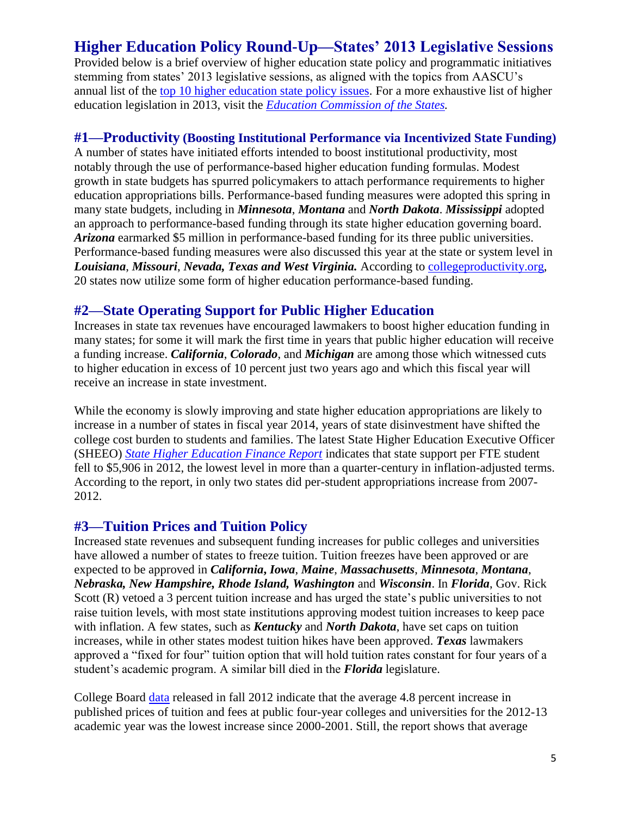## **Higher Education Policy Round-Up—States' 2013 Legislative Sessions**

Provided below is a brief overview of higher education state policy and programmatic initiatives stemming from states' 2013 legislative sessions, as aligned with the topics from AASCU's annual list of the [top 10 higher education state policy issues.](http://www.aascu.org/policy/publications/policy-matters/topten2013.pdf) For a more exhaustive list of higher education legislation in 2013, visit the *[Education Commission of the States.](http://www.ecs.org/ecs/ecscat.nsf/Web2013All?OpenView&Count=-1)* 

#### **#1—Productivity (Boosting Institutional Performance via Incentivized State Funding)**

A number of states have initiated efforts intended to boost institutional productivity, most notably through the use of performance-based higher education funding formulas. Modest growth in state budgets has spurred policymakers to attach performance requirements to higher education appropriations bills. Performance-based funding measures were adopted this spring in many state budgets, including in *Minnesota*, *Montana* and *North Dakota*. *Mississippi* adopted an approach to performance-based funding through its state higher education governing board. *Arizona* earmarked \$5 million in performance-based funding for its three public universities. Performance-based funding measures were also discussed this year at the state or system level in *Louisiana*, *Missouri*, *Nevada, Texas and West Virginia.* According to [collegeproductivity.org,](http://www.collegeproductivity.org/states) 20 states now utilize some form of higher education performance-based funding.

#### **#2—State Operating Support for Public Higher Education**

Increases in state tax revenues have encouraged lawmakers to boost higher education funding in many states; for some it will mark the first time in years that public higher education will receive a funding increase. *California*, *Colorado*, and *Michigan* are among those which witnessed cuts to higher education in excess of 10 percent just two years ago and which this fiscal year will receive an increase in state investment.

While the economy is slowly improving and state higher education appropriations are likely to increase in a number of states in fiscal year 2014, years of state disinvestment have shifted the college cost burden to students and families. The latest State Higher Education Executive Officer (SHEEO) *[State Higher Education Finance Report](http://www.sheeo.org/sites/default/files/publications/SHEF%20FY%2012-20130322rev.pdf)* indicates that state support per FTE student fell to \$5,906 in 2012, the lowest level in more than a quarter-century in inflation-adjusted terms. According to the report, in only two states did per-student appropriations increase from 2007- 2012.

#### **#3—Tuition Prices and Tuition Policy**

Increased state revenues and subsequent funding increases for public colleges and universities have allowed a number of states to freeze tuition. Tuition freezes have been approved or are expected to be approved in *California***,** *Iowa*, *Maine*, *Massachusetts*, *Minnesota*, *Montana*, *Nebraska, New Hampshire, Rhode Island, Washington* and *Wisconsin*. In *Florida*, Gov. Rick Scott (R) vetoed a 3 percent tuition increase and has urged the state's public universities to not raise tuition levels, with most state institutions approving modest tuition increases to keep pace with inflation. A few states, such as *Kentucky* and *North Dakota*, have set caps on tuition increases, while in other states modest tuition hikes have been approved. *Texas* lawmakers approved a "fixed for four" tuition option that will hold tuition rates constant for four years of a student's academic program. A similar bill died in the *Florida* legislature.

College Board [data](http://trends.collegeboard.org/sites/default/files/college-pricing-2012-full-report-121203.pdf) released in fall 2012 indicate that the average 4.8 percent increase in published prices of tuition and fees at public four-year colleges and universities for the 2012-13 academic year was the lowest increase since 2000-2001. Still, the report shows that average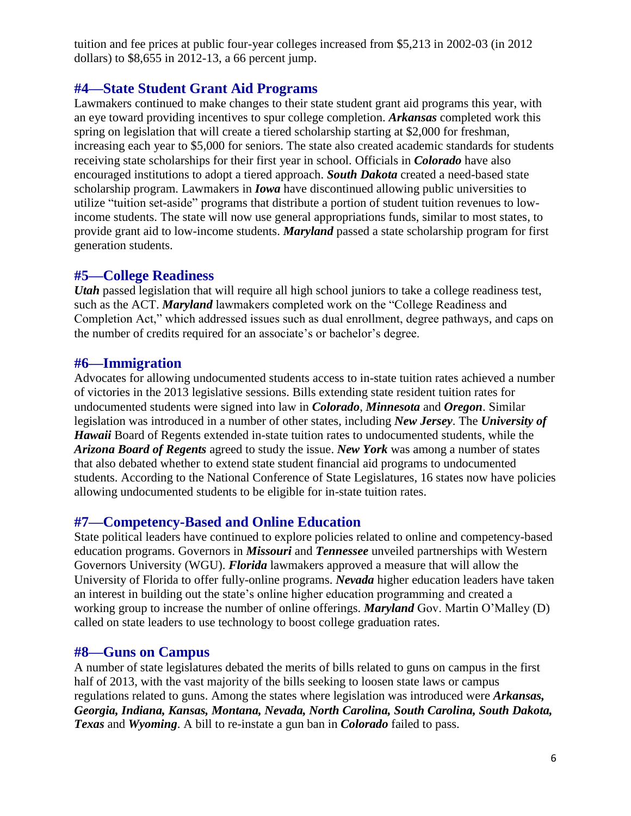tuition and fee prices at public four-year colleges increased from \$5,213 in 2002-03 (in 2012 dollars) to \$8,655 in 2012-13, a 66 percent jump.

#### **#4—State Student Grant Aid Programs**

Lawmakers continued to make changes to their state student grant aid programs this year, with an eye toward providing incentives to spur college completion. *Arkansas* completed work this spring on legislation that will create a tiered scholarship starting at \$2,000 for freshman, increasing each year to \$5,000 for seniors. The state also created academic standards for students receiving state scholarships for their first year in school. Officials in *Colorado* have also encouraged institutions to adopt a tiered approach. *South Dakota* created a need-based state scholarship program. Lawmakers in *Iowa* have discontinued allowing public universities to utilize "tuition set-aside" programs that distribute a portion of student tuition revenues to lowincome students. The state will now use general appropriations funds, similar to most states, to provide grant aid to low-income students. *Maryland* passed a state scholarship program for first generation students.

#### **#5—College Readiness**

*Utah* passed legislation that will require all high school juniors to take a college readiness test, such as the ACT. *Maryland* lawmakers completed work on the "College Readiness and Completion Act," which addressed issues such as dual enrollment, degree pathways, and caps on the number of credits required for an associate's or bachelor's degree.

#### **#6—Immigration**

Advocates for allowing undocumented students access to in-state tuition rates achieved a number of victories in the 2013 legislative sessions. Bills extending state resident tuition rates for undocumented students were signed into law in *Colorado*, *Minnesota* and *Oregon*. Similar legislation was introduced in a number of other states, including *New Jersey*. The *University of Hawaii* Board of Regents extended in-state tuition rates to undocumented students, while the *Arizona Board of Regents* agreed to study the issue. *New York* was among a number of states that also debated whether to extend state student financial aid programs to undocumented students. According to the National Conference of State Legislatures, 16 states now have policies allowing undocumented students to be eligible for in-state tuition rates.

#### **#7—Competency-Based and Online Education**

State political leaders have continued to explore policies related to online and competency-based education programs. Governors in *Missouri* and *Tennessee* unveiled partnerships with Western Governors University (WGU). *Florida* lawmakers approved a measure that will allow the University of Florida to offer fully-online programs. *Nevada* higher education leaders have taken an interest in building out the state's online higher education programming and created a working group to increase the number of online offerings. *Maryland* Gov. Martin O'Malley (D) called on state leaders to use technology to boost college graduation rates.

#### **#8—Guns on Campus**

A number of state legislatures debated the merits of bills related to guns on campus in the first half of 2013, with the vast majority of the bills seeking to loosen state laws or campus regulations related to guns. Among the states where legislation was introduced were *Arkansas, Georgia, Indiana, Kansas, Montana, Nevada, North Carolina, South Carolina, South Dakota, Texas* and *Wyoming*. A bill to re-instate a gun ban in *Colorado* failed to pass.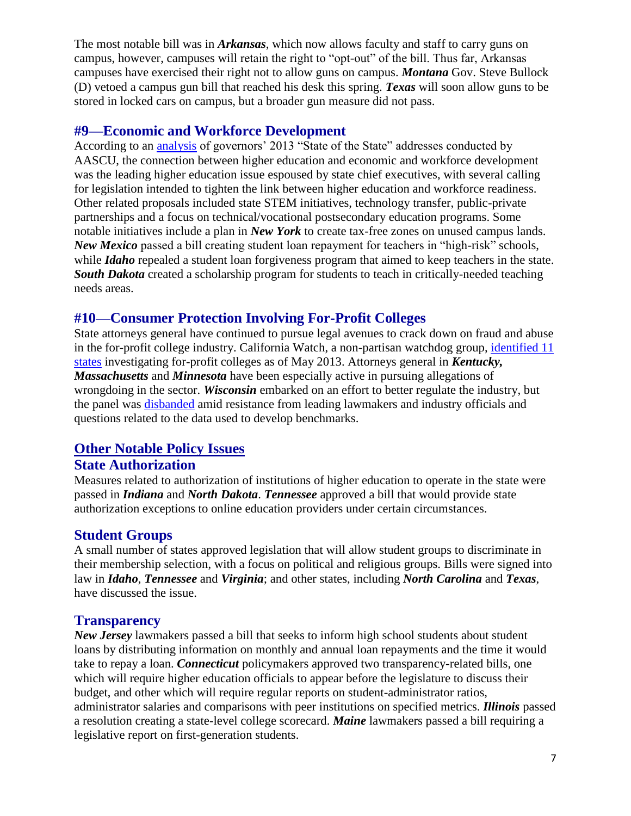The most notable bill was in *Arkansas*, which now allows faculty and staff to carry guns on campus, however, campuses will retain the right to "opt-out" of the bill. Thus far, Arkansas campuses have exercised their right not to allow guns on campus. *Montana* Gov. Steve Bullock (D) vetoed a campus gun bill that reached his desk this spring. *Texas* will soon allow guns to be stored in locked cars on campus, but a broader gun measure did not pass.

#### **#9—Economic and Workforce Development**

According to an [analysis](http://congressweb.com/aascu/advisoryView.cfm?id=134784) of governors' 2013 "State of the State" addresses conducted by AASCU, the connection between higher education and economic and workforce development was the leading higher education issue espoused by state chief executives, with several calling for legislation intended to tighten the link between higher education and workforce readiness. Other related proposals included state STEM initiatives, technology transfer, public-private partnerships and a focus on technical/vocational postsecondary education programs. Some notable initiatives include a plan in *New York* to create tax-free zones on unused campus lands. *New Mexico* passed a bill creating student loan repayment for teachers in "high-risk" schools, while *Idaho* repealed a student loan forgiveness program that aimed to keep teachers in the state. *South Dakota* created a scholarship program for students to teach in critically-needed teaching needs areas.

#### **#10—Consumer Protection Involving For-Profit Colleges**

State attorneys general have continued to pursue legal avenues to crack down on fraud and abuse in the for-profit college industry. California Watch, a non-partisan watchdog group, [identified](http://californiawatch.org/data/state-attorneys-general-investigating-profit-colleges) 11 [states](http://californiawatch.org/data/state-attorneys-general-investigating-profit-colleges) investigating for-profit colleges as of May 2013. Attorneys general in *Kentucky, Massachusetts* and *Minnesota* have been especially active in pursuing allegations of wrongdoing in the sector. *Wisconsin* embarked on an effort to better regulate the industry, but the panel was [disbanded](http://www.insidehighered.com/news/2013/07/03/aftermath-profit-fight-wisconsin) amid resistance from leading lawmakers and industry officials and questions related to the data used to develop benchmarks.

#### **Other Notable Policy Issues**

#### **State Authorization**

Measures related to authorization of institutions of higher education to operate in the state were passed in *Indiana* and *North Dakota*. *Tennessee* approved a bill that would provide state authorization exceptions to online education providers under certain circumstances.

#### **Student Groups**

A small number of states approved legislation that will allow student groups to discriminate in their membership selection, with a focus on political and religious groups. Bills were signed into law in *Idaho*, *Tennessee* and *Virginia*; and other states, including *North Carolina* and *Texas*, have discussed the issue.

#### **Transparency**

*New Jersey* lawmakers passed a bill that seeks to inform high school students about student loans by distributing information on monthly and annual loan repayments and the time it would take to repay a loan. *Connecticut* policymakers approved two transparency-related bills, one which will require higher education officials to appear before the legislature to discuss their budget, and other which will require regular reports on student-administrator ratios, administrator salaries and comparisons with peer institutions on specified metrics. *Illinois* passed a resolution creating a state-level college scorecard. *Maine* lawmakers passed a bill requiring a legislative report on first-generation students.